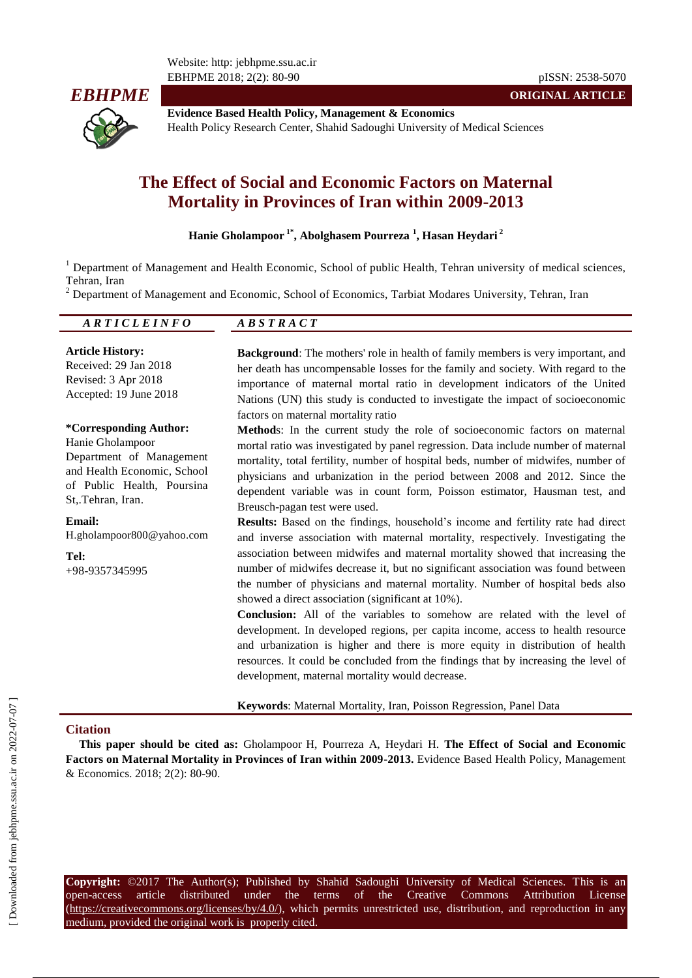Website: http: jebhpme.ssu.ac.ir EBHPME 2018; 2(2): 80-90 pISSN: 2538-5070



**Evidence Based Health Policy, Management & Economics** Health Policy Research Center, Shahid Sadoughi University of Medical Sciences

# **The Effect of Social and Economic Factors on Maternal Mortality in Provinces of Iran within 2009-2013**

### **Hanie Gholampoor 1\*, Abolghasem Pourreza <sup>1</sup> , Hasan Heydari <sup>2</sup>**

<sup>1</sup> Department of Management and Health Economic, School of public Health, Tehran university of medical sciences, Tehran, Iran

<sup>2</sup> Department of Management and Economic, School of Economics, Tarbiat Modares University, Tehran, Iran

*A R T I C L E I N F O A B S T R A C T*

**Article History:** Received: 29 Jan 2018 Revised: 3 Apr 2018 Accepted: 19 June 2018

**\*Corresponding Author:**

Hanie Gholampoor Department of Management and Health Economic, School of Public Health, Poursina St,.Tehran, Iran.

**Email:** H.gholampoor800@yahoo.com

**Tel:** +98-9357345995 **Background**: The mothers' role in health of family members is very important, and her death has uncompensable losses for the family and society. With regard to the importance of maternal mortal ratio in development indicators of the United Nations (UN) this study is conducted to investigate the impact of socioeconomic factors on maternal mortality ratio

**ORIGINAL ARTICLE**

**Method**s: In the current study the role of socioeconomic factors on maternal mortal ratio was investigated by panel regression. Data include number of maternal mortality, total fertility, number of hospital beds, number of midwifes, number of physicians and urbanization in the period between 2008 and 2012. Since the dependent variable was in count form, Poisson estimator, Hausman test, and Breusch-pagan test were used.

**Results:** Based on the findings, household's income and fertility rate had direct and inverse association with maternal mortality, respectively. Investigating the association between midwifes and maternal mortality showed that increasing the number of midwifes decrease it, but no significant association was found between the number of physicians and maternal mortality. Number of hospital beds also showed a direct association (significant at 10%).

**Conclusion:** All of the variables to somehow are related with the level of development. In developed regions, per capita income, access to health resource and urbanization is higher and there is more equity in distribution of health resources. It could be concluded from the findings that by increasing the level of development, maternal mortality would decrease.

**Keywords**: Maternal Mortality, Iran, Poisson Regression, Panel Data

#### **Citation**

**This paper should be cited as:** Gholampoor H, Pourreza A, Heydari H. **The Effect of Social and Economic Factors on Maternal Mortality in Provinces of Iran within 2009-2013.** Evidence Based Health Policy, Management & Economics. 2018; 2(2): 80-90.

**Copyright:** ©2017 The Author(s); Published by Shahid Sadoughi University of Medical Sciences. This is an open-access article distributed under the terms of the Creative Commons Attribution License  $(\text{https://creativecommons.org/licenses/by/4.0/">https://creativecommons.org/licenses/by/4.0/$ ), which permits unrestricted use, distribution, and reproduction in anymedium, provided the original work is properly cited.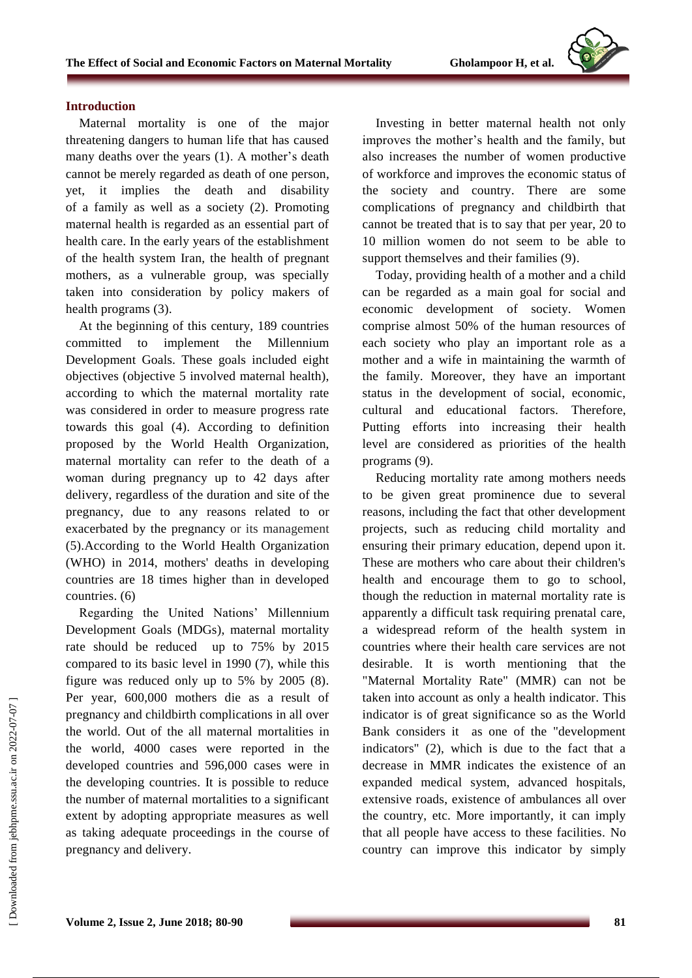### **Introduction**

Maternal mortality is one of the major threatening dangers to human life that has caused many deaths over the years (1). A mother's death cannot be merely regarded as death of one person, yet, it implies the death and disability of a family as well as a society (2). Promoting maternal health is regarded as an essential part of health care. In the early years of the establishment of the health system Iran, the health of pregnant mothers, as a vulnerable group, was specially taken into consideration by policy makers of health programs (3).

At the beginning of this century, 189 countries committed to implement the Millennium Development Goals. These goals included eight objectives (objective 5 involved maternal health), according to which the maternal mortality rate was considered in order to measure progress rate towards this goal (4). According to definition proposed by the World Health Organization, maternal mortality can refer to the death of a woman during pregnancy up to 42 days after delivery, regardless of the duration and site of the pregnancy, due to any reasons related to or exacerbated by the pregnancy or its management (5).According to the World Health Organization (WHO) in 2014, mothers' deaths in developing countries are 18 times higher than in developed countries. (6)

Regarding the United Nations' Millennium Development Goals (MDGs), maternal mortality rate should be reduced up to 75% by 2015 compared to its basic level in 1990 (7), while this figure was reduced only up to 5% by 2005 (8). Per year, 600,000 mothers die as a result of pregnancy and childbirth complications in all over the world. Out of the all maternal mortalities in the world, 4000 cases were reported in the developed countries and 596,000 cases were in the developing countries. It is possible to reduce the number of maternal mortalities to a significant extent by adopting appropriate measures as well as taking adequate proceedings in the course of pregnancy and delivery.

Investing in better maternal health not only improves the mother's health and the family, but also increases the number of women productive of workforce and improves the economic status of the society and country. There are some complications of pregnancy and childbirth that cannot be treated that is to say that per year, 20 to 10 million women do not seem to be able to support themselves and their families (9).

Today, providing health of a mother and a child can be regarded as a main goal for social and economic development of society. Women comprise almost 50% of the human resources of each society who play an important role as a mother and a wife in maintaining the warmth of the family. Moreover, they have an important status in the development of social, economic, cultural and educational factors. Therefore, Putting efforts into increasing their health level are considered as priorities of the health programs (9).

Reducing mortality rate among mothers needs to be given great prominence due to several reasons, including the fact that other development projects, such as reducing child mortality and ensuring their primary education, depend upon it. These are mothers who care about their children's health and encourage them to go to school, though the reduction in maternal mortality rate is apparently a difficult task requiring prenatal care, a widespread reform of the health system in countries where their health care services are not desirable. It is worth mentioning that the "Maternal Mortality Rate" (MMR) can not be taken into account as only a health indicator. This indicator is of great significance so as the World Bank considers it as one of the "development indicators" (2), which is due to the fact that a decrease in MMR indicates the existence of an expanded medical system, advanced hospitals, extensive roads, existence of ambulances all over the country, etc. More importantly, it can imply that all people have access to these facilities. No country can improve this indicator by simply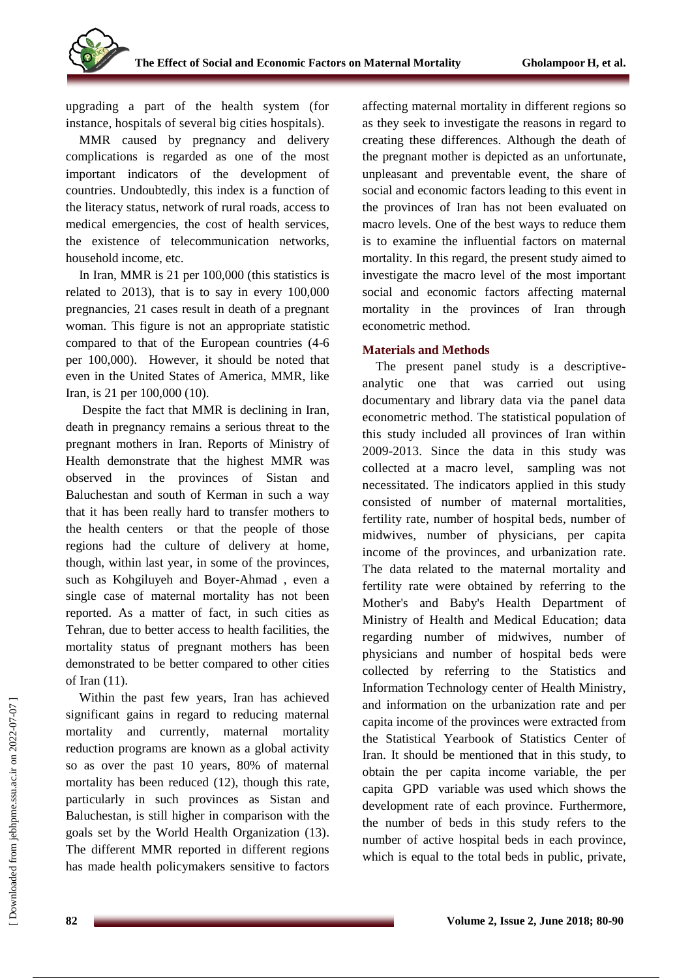upgrading a part of the health system (for instance, hospitals of several big cities hospitals).

MMR caused by pregnancy and delivery complications is regarded as one of the most important indicators of the development of countries. Undoubtedly, this index is a function of the literacy status, network of rural roads, access to medical emergencies, the cost of health services, the existence of telecommunication networks, household income, etc.

In Iran, MMR is 21 per 100,000 (this statistics is related to 2013), that is to say in every 100,000 pregnancies, 21 cases result in death of a pregnant woman. This figure is not an appropriate statistic compared to that of the European countries (4-6 per 100,000). However, it should be noted that even in the United States of America, MMR, like Iran, is 21 per 100,000 (10).

Despite the fact that MMR is declining in Iran, death in pregnancy remains a serious threat to the pregnant mothers in Iran. Reports of Ministry of Health demonstrate that the highest MMR was observed in the provinces of Sistan and Baluchestan and south of Kerman in such a way that it has been really hard to transfer mothers to the health centers or that the people of those regions had the culture of delivery at home, though, within last year, in some of the provinces, such as [Kohgiluyeh and Boyer-Ahmad](https://en.wikipedia.org/wiki/Kohgiluyeh_and_Boyer-Ahmad_Province) , even a single case of maternal mortality has not been reported. As a matter of fact, in such cities as Tehran, due to better access to health facilities, the mortality status of pregnant mothers has been demonstrated to be better compared to other cities of Iran (11).

Within the past few years, Iran has achieved significant gains in regard to reducing maternal mortality and currently, maternal mortality reduction programs are known as a global activity so as over the past 10 years, 80% of maternal mortality has been reduced (12), though this rate, particularly in such provinces as Sistan and Baluchestan, is still higher in comparison with the goals set by the World Health Organization (13). The different MMR reported in different regions has made health policymakers sensitive to factors affecting maternal mortality in different regions so as they seek to investigate the reasons in regard to creating these differences. Although the death of the pregnant mother is depicted as an unfortunate, unpleasant and preventable event, the share of social and economic factors leading to this event in the provinces of Iran has not been evaluated on macro levels. One of the best ways to reduce them is to examine the influential factors on maternal mortality. In this regard, the present study aimed to investigate the macro level of the most important social and economic factors affecting maternal mortality in the provinces of Iran through econometric method.

## **Materials and Methods**

The present panel study is a descriptiveanalytic one that was carried out using documentary and library data via the panel data econometric method. The statistical population of this study included all provinces of Iran within 2009-2013. Since the data in this study was collected at a macro level, sampling was not necessitated. The indicators applied in this study consisted of number of maternal mortalities, fertility rate, number of hospital beds, number of midwives, number of physicians, per capita income of the provinces, and urbanization rate. The data related to the maternal mortality and fertility rate were obtained by referring to the [Mother's and Baby's Health Department](http://www.poliambulanza.it/en/departments-and-operating-units/mothers-and-babys-health-department) of Ministry of Health and Medical Education; data regarding number of midwives, number of physicians and number of hospital beds were collected by referring to the Statistics and Information Technology center of Health Ministry, and information on the urbanization rate and per capita income of the provinces were extracted from the Statistical Yearbook of Statistics Center of Iran. It should be mentioned that in this study, to obtain the per capita income variable, the per capita GPD variable was used which shows the development rate of each province. Furthermore, the number of beds in this study refers to the number of active hospital beds in each province, which is equal to the total beds in public, private,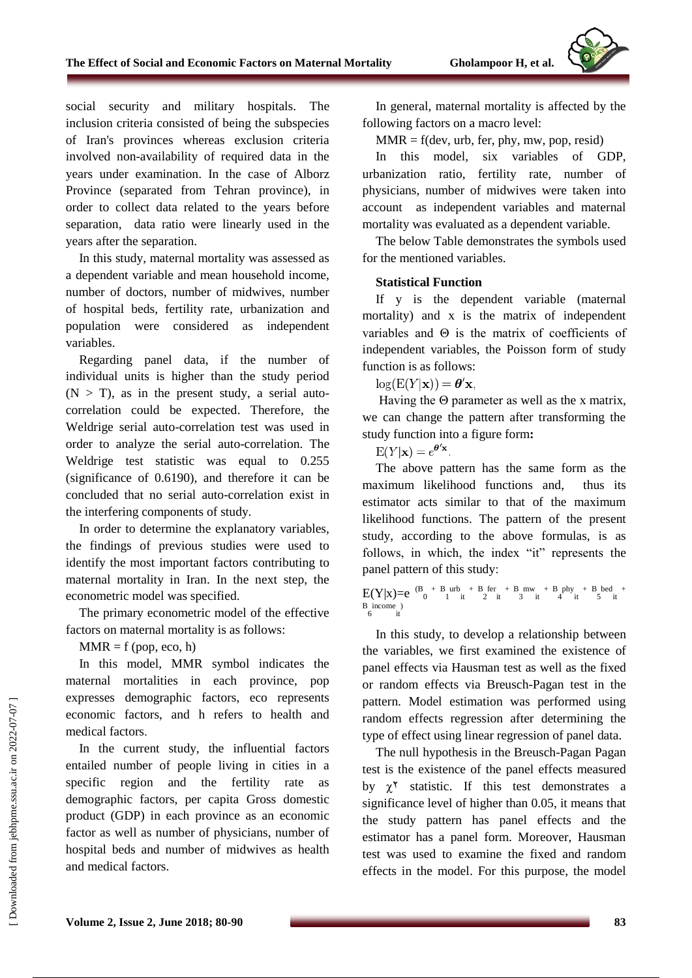social security and military hospitals. The inclusion criteria consisted of being the subspecies of Iran's provinces whereas exclusion criteria involved non-availability of required data in the years under examination. In the case of Alborz Province (separated from Tehran province), in order to collect data related to the years before separation, data ratio were linearly used in the years after the separation.

In this study, maternal mortality was assessed as a dependent variable and mean household income, number of doctors, number of midwives, number of hospital beds, fertility rate, urbanization and population were considered as independent variables.

Regarding panel data, if the number of individual units is higher than the study period  $(N > T)$ , as in the present study, a serial autocorrelation could be expected. Therefore, the Weldrige serial auto-correlation test was used in order to analyze the serial auto-correlation. The Weldrige test statistic was equal to 0.255 (significance of 0.6190), and therefore it can be concluded that no serial auto-correlation exist in the interfering components of study.

In order to determine the explanatory variables, the findings of previous studies were used to identify the most important factors contributing to maternal mortality in Iran. In the next step, the econometric model was specified.

The primary econometric model of the effective factors on maternal mortality is as follows:

 $MMR = f (pop, eco, h)$ 

In this model, MMR symbol indicates the maternal mortalities in each province, pop expresses demographic factors, eco represents economic factors, and h refers to health and medical factors.

In the current study, the influential factors entailed number of people living in cities in a specific region and the fertility rate as demographic factors, per capita Gross domestic product (GDP) in each province as an economic factor as well as number of physicians, number of hospital beds and number of midwives as health and medical factors.

In general, maternal mortality is affected by the following factors on a macro level:

 $MMR = f(dev, urb, fer, phy, mw, pop, resid)$ 

In this model, six variables of GDP, urbanization ratio, fertility rate, number of physicians, number of midwives were taken into account as independent variables and maternal mortality was evaluated as a dependent variable.

The below Table demonstrates the symbols used for the mentioned variables.

### **Statistical Function**

If y is the dependent variable (maternal mortality) and x is the matrix of independent variables and Θ is the matrix of coefficients of independent variables, the Poisson form of study function is as follows:

 $log(E(Y|\mathbf{x})) = \boldsymbol{\theta}'\mathbf{x}$ .

Having the  $\Theta$  parameter as well as the x matrix, we can change the pattern after transforming the study function into a figure form**:**

 $E(Y|\mathbf{x}) = e^{\theta' \mathbf{x}}$ .

The above pattern has the same form as the maximum likelihood functions and, thus its estimator acts similar to that of the maximum likelihood functions. The pattern of the present study, according to the above formulas, is as follows, in which, the index "it" represents the panel pattern of this study:

 $E(Y|x)=e^{-(B_0 + B_0urb + B_0f) + (B_0 + B_1)pt + (B_0 + B_1)gt + (B_0 + B_1)gt + (B_0 + B_1)gt + (B_0 + B_1)gt + (B_0 + B_1)gt + (B_0 + B_1)gt + (B_0 + B_1)gt + (B_0 + B_1)gt + (B_0 + B_1)gt + (B_0 + B_1)gt + (B_0 + B_1)gt + (B_0 + B_1)gt + (B_0 + B_1)gt + (B_0 + B_1)gt + (B_0 + B_1)gt + (B_0 + B_1)gt + (B_0 + B_1)gt +$ B income )<br>6 it

In this study, to develop a relationship between the variables, we first examined the existence of panel effects via Hausman test as well as the fixed or random effects via Breusch-Pagan test in the pattern. Model estimation was performed using random effects regression after determining the type of effect using linear regression of panel data.

The null hypothesis in the Breusch-Pagan Pagan test is the existence of the panel effects measured by  $\gamma^{\gamma}$  statistic. If this test demonstrates a significance level of higher than 0.05, it means that the study pattern has panel effects and the estimator has a panel form. Moreover, Hausman test was used to examine the fixed and random effects in the model. For this purpose, the model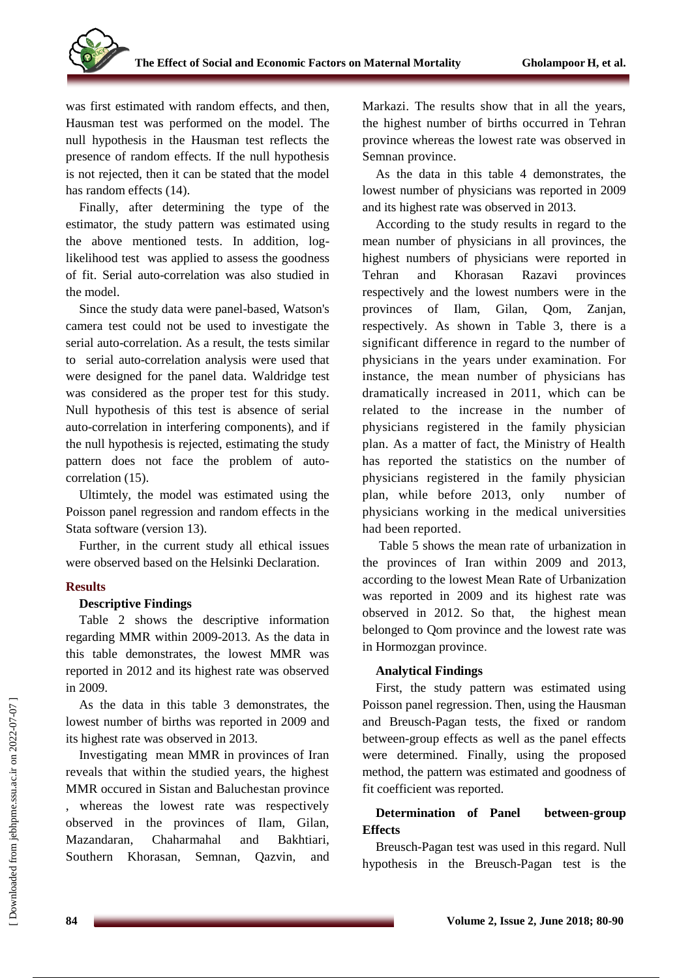was first estimated with random effects, and then, Hausman test was performed on the model. The null hypothesis in the Hausman test reflects the presence of random effects. If the null hypothesis is not rejected, then it can be stated that the model has random effects (14).

Finally, after determining the type of the estimator, the study pattern was estimated using the above mentioned tests. In addition, loglikelihood test was applied to assess the goodness of fit. Serial auto-correlation was also studied in the model.

Since the study data were panel-based, Watson's camera test could not be used to investigate the serial auto-correlation. As a result, the tests similar to serial auto-correlation analysis were used that were designed for the panel data. Waldridge test was considered as the proper test for this study. Null hypothesis of this test is absence of serial auto-correlation in interfering components), and if the null hypothesis is rejected, estimating the study pattern does not face the problem of autocorrelation (15).

Ultimtely, the model was estimated using the Poisson panel regression and random effects in the Stata software (version 13).

Further, in the current study all ethical issues were observed based on the Helsinki Declaration.

### **Results**

### **Descriptive Findings**

Table 2 shows the descriptive information regarding MMR within 2009-2013. As the data in this table demonstrates, the lowest MMR was reported in 2012 and its highest rate was observed in 2009.

As the data in this table 3 demonstrates, the lowest number of births was reported in 2009 and its highest rate was observed in 2013.

Investigating mean MMR in provinces of Iran reveals that within the studied years, the highest MMR occured in Sistan and Baluchestan province , whereas the lowest rate was respectively observed in the provinces of Ilam, Gilan, Mazandaran, Chaharmahal and Bakhtiari, Southern Khorasan, Semnan, Qazvin, and Markazi. The results show that in all the years, the highest number of births occurred in Tehran province whereas the lowest rate was observed in Semnan province.

As the data in this table 4 demonstrates, the lowest number of physicians was reported in 2009 and its highest rate was observed in 2013.

According to the study results in regard to the mean number of physicians in all provinces, the highest numbers of physicians were reported in Tehran and Khorasan Razavi provinces respectively and the lowest numbers were in the provinces of Ilam, Gilan, Qom, Zanjan, respectively. As shown in Table 3, there is a significant difference in regard to the number of physicians in the years under examination. For instance, the mean number of physicians has dramatically increased in 2011, which can be related to the increase in the number of physicians registered in the family physician plan. As a matter of fact, the Ministry of Health has reported the statistics on the number of physicians registered in the family physician plan, while before 2013, only number of physicians working in the medical universities had been reported.

Table 5 shows the mean rate of urbanization in the provinces of Iran within 2009 and 2013, according to the lowest Mean Rate of Urbanization was reported in 2009 and its highest rate was observed in 2012. So that, the highest mean belonged to Qom province and the lowest rate was in Hormozgan province.

### **Analytical Findings**

First, the study pattern was estimated using Poisson panel regression. Then, using the Hausman and Breusch-Pagan tests, the fixed or random between-group effects as well as the panel effects were determined. Finally, using the proposed method, the pattern was estimated and goodness of fit coefficient was reported.

## **Determination of Panel between-group Effects**

Breusch-Pagan test was used in this regard. Null hypothesis in the Breusch-Pagan test is the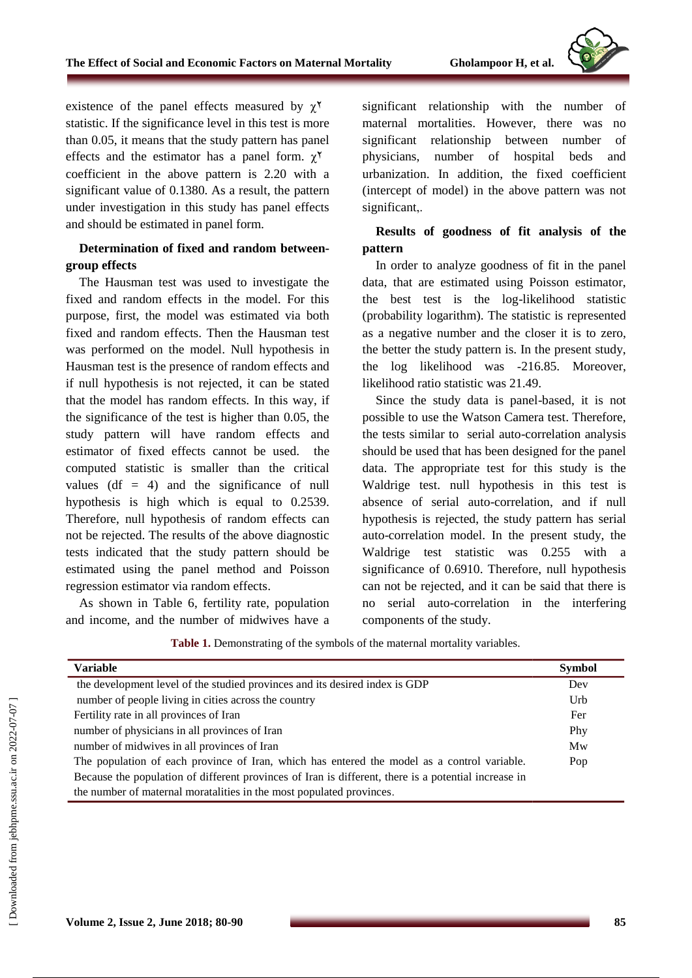

existence of the panel effects measured by  $\chi^{\gamma}$ statistic. If the significance level in this test is more than 0.05, it means that the study pattern has panel effects and the estimator has a panel form.  $\chi^{\gamma}$ coefficient in the above pattern is 2.20 with a significant value of 0.1380. As a result, the pattern under investigation in this study has panel effects and should be estimated in panel form.

## **Determination of fixed and random betweengroup effects**

The Hausman test was used to investigate the fixed and random effects in the model. For this purpose, first, the model was estimated via both fixed and random effects. Then the Hausman test was performed on the model. Null hypothesis in Hausman test is the presence of random effects and if null hypothesis is not rejected, it can be stated that the model has random effects. In this way, if the significance of the test is higher than 0.05, the study pattern will have random effects and estimator of fixed effects cannot be used. the computed statistic is smaller than the critical values (df  $= 4$ ) and the significance of null hypothesis is high which is equal to 0.2539. Therefore, null hypothesis of random effects can not be rejected. The results of the above diagnostic tests indicated that the study pattern should be estimated using the panel method and Poisson regression estimator via random effects.

As shown in Table 6, fertility rate, population and income, and the number of midwives have a significant relationship with the number of maternal mortalities. However, there was no significant relationship between number of physicians, number of hospital beds and urbanization. In addition, the fixed coefficient (intercept of model) in the above pattern was not significant,.

**Results of goodness of fit analysis of the pattern** 

In order to analyze goodness of fit in the panel data, that are estimated using Poisson estimator, the best test is the log-likelihood statistic (probability logarithm). The statistic is represented as a negative number and the closer it is to zero, the better the study pattern is. In the present study, the log likelihood was -216.85. Moreover, likelihood ratio statistic was 21.49.

Since the study data is panel-based, it is not possible to use the Watson Camera test. Therefore, the tests similar to serial auto-correlation analysis should be used that has been designed for the panel data. The appropriate test for this study is the Waldrige test. null hypothesis in this test is absence of serial auto-correlation, and if null hypothesis is rejected, the study pattern has serial auto-correlation model. In the present study, the Waldrige test statistic was 0.255 with a significance of 0.6910. Therefore, null hypothesis can not be rejected, and it can be said that there is no serial auto-correlation in the interfering components of the study.

**Table 1.** Demonstrating of the symbols of the maternal mortality variables.

| <b>Variable</b>                                                                                      | <b>Symbol</b> |
|------------------------------------------------------------------------------------------------------|---------------|
| the development level of the studied provinces and its desired index is GDP                          | Dev           |
| number of people living in cities across the country                                                 | Urb           |
| Fertility rate in all provinces of Iran                                                              | Fer           |
| number of physicians in all provinces of Iran                                                        | Phy           |
| number of midwives in all provinces of Iran                                                          | Mw            |
| The population of each province of Iran, which has entered the model as a control variable.          | Pop           |
| Because the population of different provinces of Iran is different, there is a potential increase in |               |
| the number of maternal moratalities in the most populated provinces.                                 |               |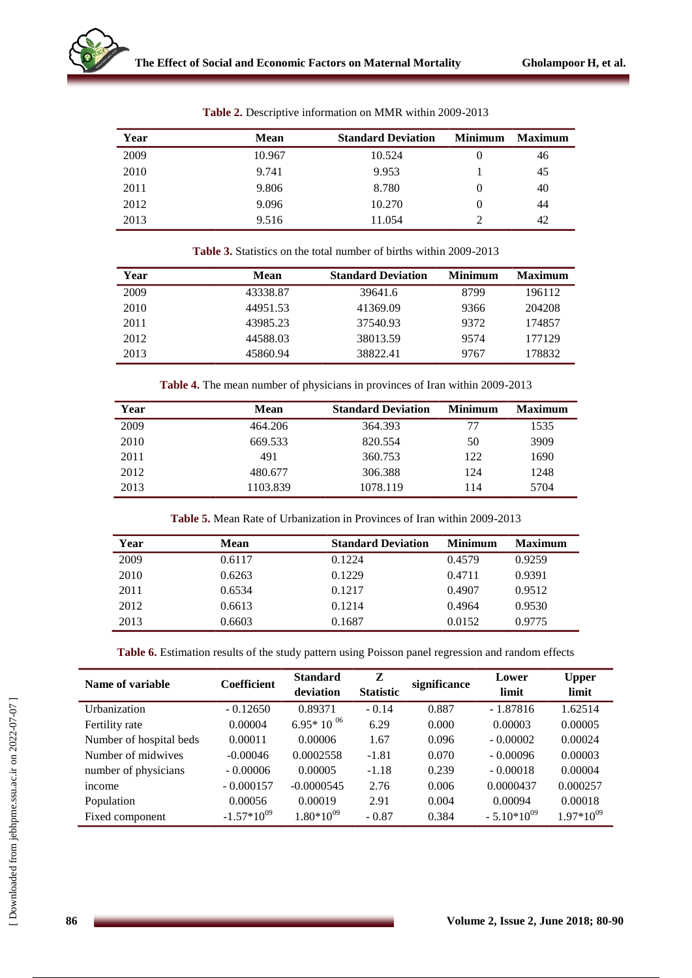| <b>Mean</b> | <b>Standard Deviation</b> | <b>Minimum</b>   | <b>Maximum</b> |
|-------------|---------------------------|------------------|----------------|
| 10.967      | 10.524                    | $\theta$         | 46             |
| 9.741       | 9.953                     |                  | 45             |
| 9.806       | 8.780                     | $\left( \right)$ | 40             |
| 9.096       | 10.270                    |                  | 44             |
| 9.516       | 11.054                    |                  | 42             |
|             |                           |                  |                |

**Table 2.** Descriptive information on MMR within 2009-2013

| <b>Table 3.</b> Statistics on the total number of births within 2009-2013 |  |
|---------------------------------------------------------------------------|--|
|                                                                           |  |

| Year | Mean     | <b>Standard Deviation</b> | <b>Minimum</b> | <b>Maximum</b> |
|------|----------|---------------------------|----------------|----------------|
| 2009 | 43338.87 | 39641.6                   | 8799           | 196112         |
| 2010 | 44951.53 | 41369.09                  | 9366           | 204208         |
| 2011 | 43985.23 | 37540.93                  | 9372           | 174857         |
| 2012 | 44588.03 | 38013.59                  | 9574           | 177129         |
| 2013 | 45860.94 | 38822.41                  | 9767           | 178832         |

**Table 4.** The mean number of physicians in provinces of Iran within 2009-2013

| Year | Mean     | <b>Standard Deviation</b> | <b>Minimum</b> | <b>Maximum</b> |
|------|----------|---------------------------|----------------|----------------|
| 2009 | 464.206  | 364.393                   | 77             | 1535           |
| 2010 | 669.533  | 820.554                   | 50             | 3909           |
| 2011 | 491      | 360.753                   | 122            | 1690           |
| 2012 | 480.677  | 306.388                   | 124            | 1248           |
| 2013 | 1103.839 | 1078.119                  | 114            | 5704           |

|  |  |  |  | <b>Table 5.</b> Mean Rate of Urbanization in Provinces of Iran within 2009-2013 |
|--|--|--|--|---------------------------------------------------------------------------------|
|  |  |  |  |                                                                                 |

| Year | <b>Mean</b> | <b>Standard Deviation</b> | <b>Minimum</b> | <b>Maximum</b> |
|------|-------------|---------------------------|----------------|----------------|
| 2009 | 0.6117      | 0.1224                    | 0.4579         | 0.9259         |
| 2010 | 0.6263      | 0.1229                    | 0.4711         | 0.9391         |
| 2011 | 0.6534      | 0.1217                    | 0.4907         | 0.9512         |
| 2012 | 0.6613      | 0.1214                    | 0.4964         | 0.9530         |
| 2013 | 0.6603      | 0.1687                    | 0.0152         | 0.9775         |

**Table 6.** Estimation results of the study pattern using Poisson panel regression and random effects

| Name of variable        | <b>Coefficient</b> | <b>Standard</b><br>deviation | Z<br><b>Statistic</b> | significance | Lower<br>limit  | <b>Upper</b><br>limit |
|-------------------------|--------------------|------------------------------|-----------------------|--------------|-----------------|-----------------------|
| Urbanization            | $-0.12650$         | 0.89371                      | $-0.14$               | 0.887        | $-1.87816$      | 1.62514               |
| Fertility rate          | 0.00004            | $6.95*10^{06}$               | 6.29                  | 0.000        | 0.00003         | 0.00005               |
| Number of hospital beds | 0.00011            | 0.00006                      | 1.67                  | 0.096        | $-0.00002$      | 0.00024               |
| Number of midwives      | $-0.00046$         | 0.0002558                    | $-1.81$               | 0.070        | $-0.00096$      | 0.00003               |
| number of physicians    | $-0.00006$         | 0.00005                      | $-1.18$               | 0.239        | $-0.00018$      | 0.00004               |
| <sub>1</sub> ncome      | $-0.000157$        | $-0.0000545$                 | 2.76                  | 0.006        | 0.0000437       | 0.000257              |
| Population              | 0.00056            | 0.00019                      | 2.91                  | 0.004        | 0.00094         | 0.00018               |
| Fixed component         | $-1.57*10^{09}$    | $1.80*10^{09}$               | $-0.87$               | 0.384        | $-5.10*10^{09}$ | $1.97*10^{09}$        |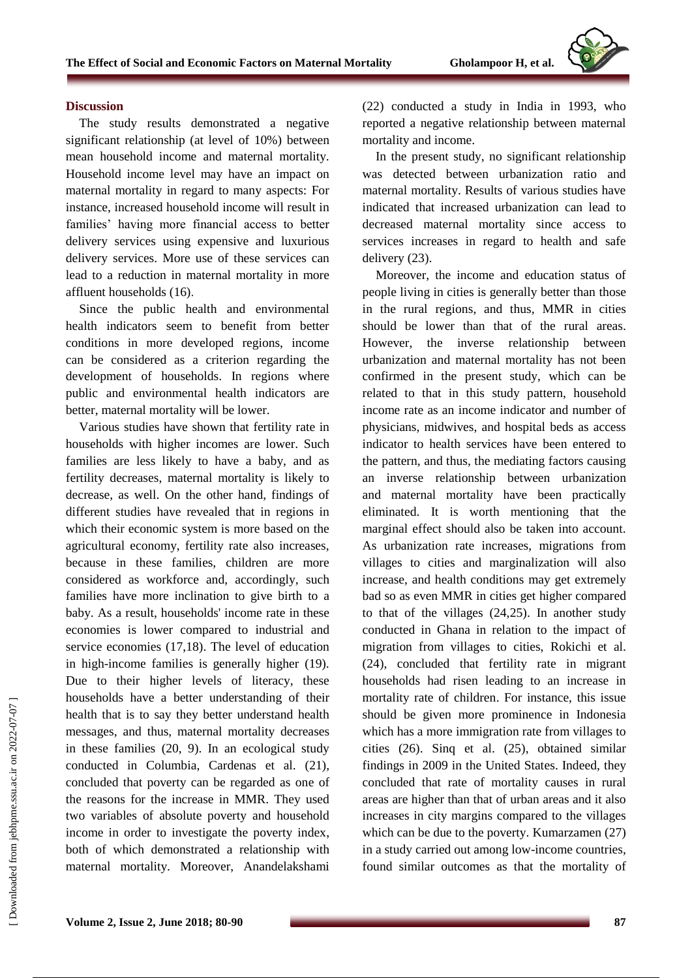

#### **Discussion**

The study results demonstrated a negative significant relationship (at level of 10%) between mean household income and maternal mortality. Household income level may have an impact on maternal mortality in regard to many aspects: For instance, increased household income will result in families' having more financial access to better delivery services using expensive and luxurious delivery services. More use of these services can lead to a reduction in maternal mortality in more affluent households (16).

Since the public health and environmental health indicators seem to benefit from better conditions in more developed regions, income can be considered as a criterion regarding the development of households. In regions where public and environmental health indicators are better, maternal mortality will be lower.

Various studies have shown that fertility rate in households with higher incomes are lower. Such families are less likely to have a baby, and as fertility decreases, maternal mortality is likely to decrease, as well. On the other hand, findings of different studies have revealed that in regions in which their economic system is more based on the agricultural economy, fertility rate also increases, because in these families, children are more considered as workforce and, accordingly, such families have more inclination to give birth to a baby. As a result, households' income rate in these economies is lower compared to industrial and service economies (17,18). The level of education in high-income families is generally higher (19). Due to their higher levels of literacy, these households have a better understanding of their health that is to say they better understand health messages, and thus, maternal mortality decreases in these families (20, 9). In an ecological study conducted in Columbia, Cardenas et al. (21), concluded that poverty can be regarded as one of the reasons for the increase in MMR. They used two variables of absolute poverty and household income in order to investigate the poverty index, both of which demonstrated a relationship with maternal mortality. Moreover, Anandelakshami (22) conducted a study in India in 1993, who reported a negative relationship between maternal mortality and income.

In the present study, no significant relationship was detected between urbanization ratio and maternal mortality. Results of various studies have indicated that increased urbanization can lead to decreased maternal mortality since access to services increases in regard to health and safe delivery (23).

Moreover, the income and education status of people living in cities is generally better than those in the rural regions, and thus, MMR in cities should be lower than that of the rural areas. However, the inverse relationship between urbanization and maternal mortality has not been confirmed in the present study, which can be related to that in this study pattern, household income rate as an income indicator and number of physicians, midwives, and hospital beds as access indicator to health services have been entered to the pattern, and thus, the mediating factors causing an inverse relationship between urbanization and maternal mortality have been practically eliminated. It is worth mentioning that the marginal effect should also be taken into account. As urbanization rate increases, migrations from villages to cities and marginalization will also increase, and health conditions may get extremely bad so as even MMR in cities get higher compared to that of the villages (24,25). In another study conducted in Ghana in relation to the impact of migration from villages to cities, Rokichi et al. (24), concluded that fertility rate in migrant households had risen leading to an increase in mortality rate of children. For instance, this issue should be given more prominence in Indonesia which has a more immigration rate from villages to cities (26). Sinq et al. (25), obtained similar findings in 2009 in the United States. Indeed, they concluded that rate of mortality causes in rural areas are higher than that of urban areas and it also increases in city margins compared to the villages which can be due to the poverty. Kumarzamen (27) in a study carried out among low-income countries, found similar outcomes as that the mortality of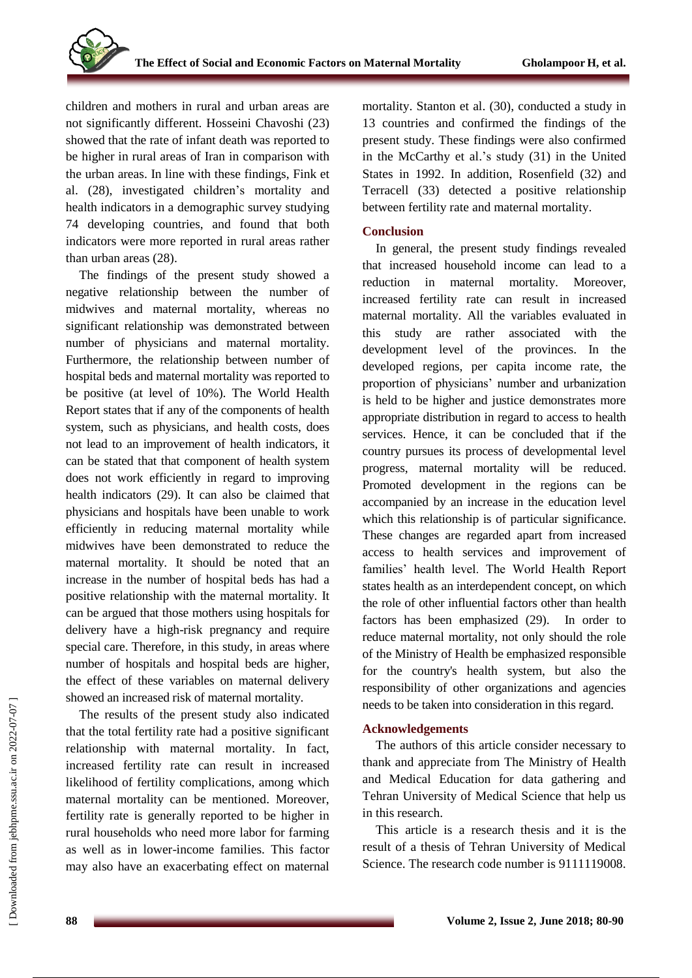children and mothers in rural and urban areas are not significantly different. Hosseini Chavoshi (23) showed that the rate of infant death was reported to be higher in rural areas of Iran in comparison with the urban areas. In line with these findings, Fink et al. (28), investigated children's mortality and health indicators in a demographic survey studying 74 developing countries, and found that both indicators were more reported in rural areas rather than urban areas (28).

The findings of the present study showed a negative relationship between the number of midwives and maternal mortality, whereas no significant relationship was demonstrated between number of physicians and maternal mortality. Furthermore, the relationship between number of hospital beds and maternal mortality was reported to be positive (at level of 10%). The World Health Report states that if any of the components of health system, such as physicians, and health costs, does not lead to an improvement of health indicators, it can be stated that that component of health system does not work efficiently in regard to improving health indicators (29). It can also be claimed that physicians and hospitals have been unable to work efficiently in reducing maternal mortality while midwives have been demonstrated to reduce the maternal mortality. It should be noted that an increase in the number of hospital beds has had a positive relationship with the maternal mortality. It can be argued that those mothers using hospitals for delivery have a high-risk pregnancy and require special care. Therefore, in this study, in areas where number of hospitals and hospital beds are higher, the effect of these variables on maternal delivery showed an increased risk of maternal mortality.

The results of the present study also indicated that the total fertility rate had a positive significant relationship with maternal mortality. In fact, increased fertility rate can result in increased likelihood of fertility complications, among which maternal mortality can be mentioned. Moreover, fertility rate is generally reported to be higher in rural households who need more labor for farming as well as in lower-income families. This factor may also have an exacerbating effect on maternal mortality. Stanton et al. (30), conducted a study in 13 countries and confirmed the findings of the present study. These findings were also confirmed in the McCarthy et al.'s study (31) in the United States in 1992. In addition, Rosenfield (32) and Terracell (33) detected a positive relationship between fertility rate and maternal mortality.

### **Conclusion**

In general, the present study findings revealed that increased household income can lead to a reduction in maternal mortality. Moreover, increased fertility rate can result in increased maternal mortality. All the variables evaluated in this study are rather associated with the development level of the provinces. In the developed regions, per capita income rate, the proportion of physicians' number and urbanization is held to be higher and justice demonstrates more appropriate distribution in regard to access to health services. Hence, it can be concluded that if the country pursues its process of developmental level progress, maternal mortality will be reduced. Promoted development in the regions can be accompanied by an increase in the education level which this relationship is of particular significance. These changes are regarded apart from increased access to health services and improvement of families' health level. The World Health Report states health as an interdependent concept, on which the role of other influential factors other than health factors has been emphasized (29). In order to reduce maternal mortality, not only should the role of the Ministry of Health be emphasized responsible for the country's health system, but also the responsibility of other organizations and agencies needs to be taken into consideration in this regard.

### **Acknowledgements**

The authors of this article consider necessary to thank and appreciate from The Ministry of Health and Medical Education for data gathering and Tehran University of Medical Science that help us in this research.

This article is a research thesis and it is the result of a thesis of Tehran University of Medical Science. The research code number is 9111119008.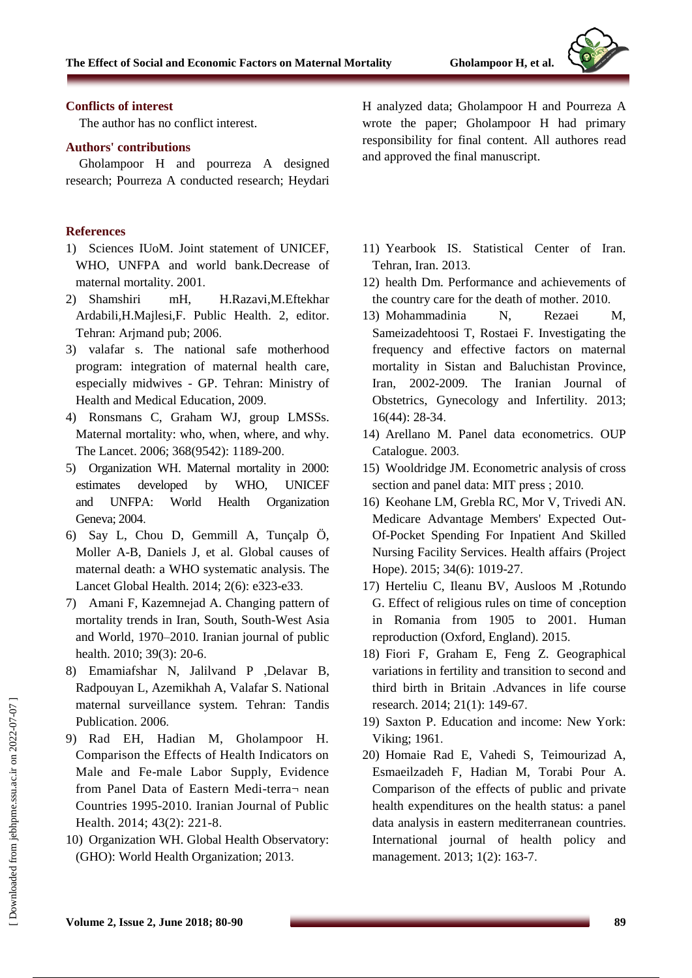

### **Conflicts of interest**

The author has no conflict interest.

### **Authors' contributions**

Gholampoor H and pourreza A designed research; Pourreza A conducted research; Heydari

### **References**

- 1) Sciences IUoM. Joint statement of UNICEF, WHO, UNFPA and world bank.Decrease of maternal mortality. 2001.
- 2) Shamshiri mH, H.Razavi,M.Eftekhar Ardabili,H.Majlesi,F. Public Health. 2, editor. Tehran: Arjmand pub; 2006.
- 3) valafar s. The national safe motherhood program: integration of maternal health care, especially midwives - GP. Tehran: Ministry of Health and Medical Education, 2009.
- 4) Ronsmans C, Graham WJ, group LMSSs. Maternal mortality: who, when, where, and why. The Lancet. 2006; 368(9542): 1189-200.
- 5) Organization WH. Maternal mortality in 2000: estimates developed by WHO, UNICEF and UNFPA: World Health Organization Geneva; 2004.
- 6) Say L, Chou D, Gemmill A, Tunçalp Ö, Moller A-B, Daniels J, et al. Global causes of maternal death: a WHO systematic analysis. The Lancet Global Health. 2014; 2(6): e323-e33.
- 7) Amani F, Kazemnejad A. Changing pattern of mortality trends in Iran, South, South-West Asia and World, 1970–2010. Iranian journal of public health. 2010; 39(3): 20-6.
- 8) Emamiafshar N, Jalilvand P ,Delavar B, Radpouyan L, Azemikhah A, Valafar S. National maternal surveillance system. Tehran: Tandis Publication. 2006.
- 9) Rad EH, Hadian M, Gholampoor H. Comparison the Effects of Health Indicators on Male and Fe-male Labor Supply, Evidence from Panel Data of Eastern Medi-terra¬ nean Countries 1995-2010. Iranian Journal of Public Health. 2014; 43(2): 221-8.
- 10) Organization WH. Global Health Observatory: (GHO): World Health Organization; 2013.

H analyzed data; Gholampoor H and Pourreza A wrote the paper; Gholampoor H had primary responsibility for final content. All authores read and approved the final manuscript.

- 11) Yearbook IS. Statistical Center of Iran. Tehran, Iran. 2013.
- 12) health Dm. Performance and achievements of the country care for the death of mother. 2010.
- 13) Mohammadinia N, Rezaei M, Sameizadehtoosi T, Rostaei F. Investigating the frequency and effective factors on maternal mortality in Sistan and Baluchistan Province, Iran, 2002-2009. The Iranian Journal of Obstetrics, Gynecology and Infertility. 2013; 16(44): 28-34.
- 14) Arellano M. Panel data econometrics. OUP Catalogue. 2003.
- 15) Wooldridge JM. Econometric analysis of cross section and panel data: MIT press ; 2010.
- 16) Keohane LM, Grebla RC, Mor V, Trivedi AN. Medicare Advantage Members' Expected Out-Of-Pocket Spending For Inpatient And Skilled Nursing Facility Services. Health affairs (Project Hope). 2015; 34(6): 1019-27.
- 17) Herteliu C, Ileanu BV, Ausloos M ,Rotundo G. Effect of religious rules on time of conception in Romania from 1905 to 2001. Human reproduction (Oxford, England). 2015.
- 18) Fiori F, Graham E, Feng Z. Geographical variations in fertility and transition to second and third birth in Britain .Advances in life course research. 2014; 21(1): 149-67.
- 19) Saxton P. Education and income: New York: Viking; 1961.
- 20) Homaie Rad E, Vahedi S, Teimourizad A, Esmaeilzadeh F, Hadian M, Torabi Pour A. Comparison of the effects of public and private health expenditures on the health status: a panel data analysis in eastern mediterranean countries. International journal of health policy and management. 2013; 1(2): 163-7.